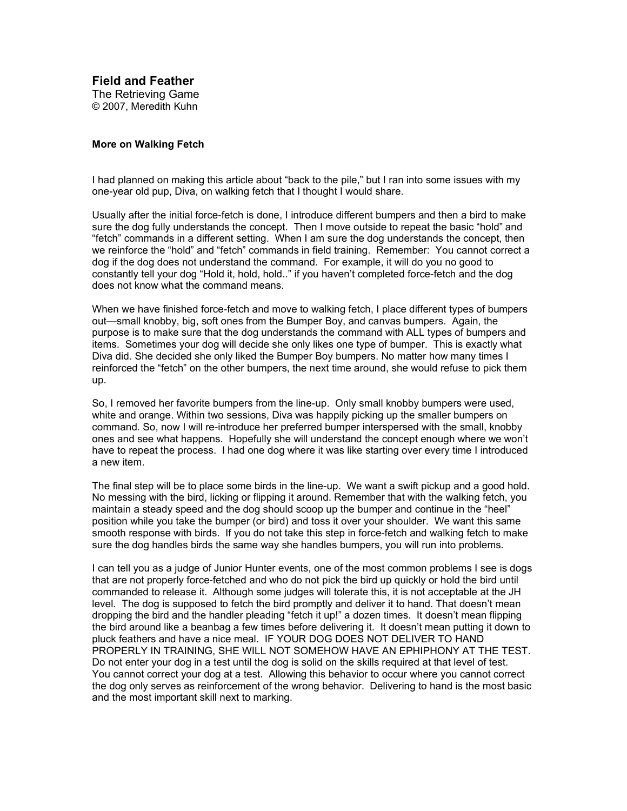**Field and Feather** The Retrieving Game © 2007, Meredith Kuhn

## **More on Walking Fetch**

I had planned on making this article about "back to the pile," but I ran into some issues with my one-year old pup, Diva, on walking fetch that I thought I would share.

Usually after the initial force-fetch is done, I introduce different bumpers and then a bird to make sure the dog fully understands the concept. Then I move outside to repeat the basic "hold" and "fetch" commands in a different setting. When I am sure the dog understands the concept, then we reinforce the "hold" and "fetch" commands in field training. Remember: You cannot correct a dog if the dog does not understand the command. For example, it will do you no good to constantly tell your dog "Hold it, hold, hold.." if you haven't completed force-fetch and the dog does not know what the command means.

When we have finished force-fetch and move to walking fetch, I place different types of bumpers out—small knobby, big, soft ones from the Bumper Boy, and canvas bumpers. Again, the purpose is to make sure that the dog understands the command with ALL types of bumpers and items. Sometimes your dog will decide she only likes one type of bumper. This is exactly what Diva did. She decided she only liked the Bumper Boy bumpers. No matter how many times I reinforced the "fetch" on the other bumpers, the next time around, she would refuse to pick them up.

So, I removed her favorite bumpers from the line-up. Only small knobby bumpers were used, white and orange. Within two sessions, Diva was happily picking up the smaller bumpers on command. So, now I will re-introduce her preferred bumper interspersed with the small, knobby ones and see what happens. Hopefully she will understand the concept enough where we won't have to repeat the process. I had one dog where it was like starting over every time I introduced a new item.

The final step will be to place some birds in the line-up. We want a swift pickup and a good hold. No messing with the bird, licking or flipping it around. Remember that with the walking fetch, you maintain a steady speed and the dog should scoop up the bumper and continue in the "heel" position while you take the bumper (or bird) and toss it over your shoulder. We want this same smooth response with birds. If you do not take this step in force-fetch and walking fetch to make sure the dog handles birds the same way she handles bumpers, you will run into problems.

I can tell you as a judge of Junior Hunter events, one of the most common problems I see is dogs that are not properly force-fetched and who do not pick the bird up quickly or hold the bird until commanded to release it. Although some judges will tolerate this, it is not acceptable at the JH level. The dog is supposed to fetch the bird promptly and deliver it to hand. That doesn't mean dropping the bird and the handler pleading "fetch it up!" a dozen times. It doesn't mean flipping the bird around like a beanbag a few times before delivering it. It doesn't mean putting it down to pluck feathers and have a nice meal. IF YOUR DOG DOES NOT DELIVER TO HAND PROPERLY IN TRAINING, SHE WILL NOT SOMEHOW HAVE AN EPHIPHONY AT THE TEST. Do not enter your dog in a test until the dog is solid on the skills required at that level of test. You cannot correct your dog at a test. Allowing this behavior to occur where you cannot correct the dog only serves as reinforcement of the wrong behavior. Delivering to hand is the most basic and the most important skill next to marking.